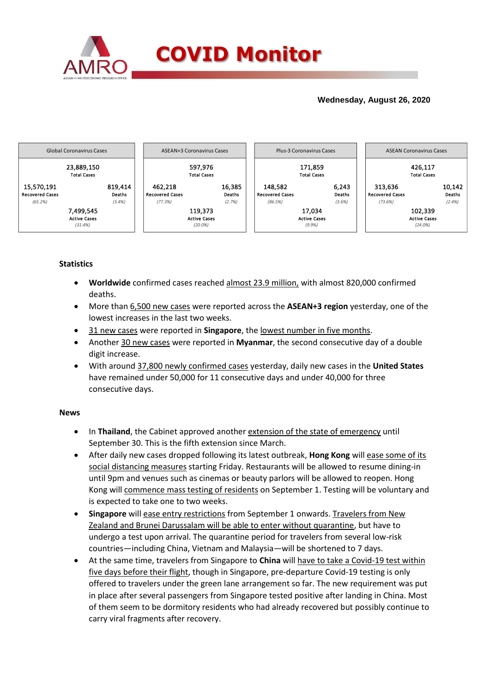

## **Wednesday, August 26, 2020**



### **Statistics**

- **Worldwide** confirmed cases reached almost 23.9 million, with almost 820,000 confirmed deaths.
- More than 6,500 new cases were reported across the **ASEAN+3 region** yesterday, one of the lowest increases in the last two weeks.
- 31 new cases were reported in **Singapore**, the lowest number in five months.
- Another 30 new cases were reported in **Myanmar**, the second consecutive day of a double digit increase.
- With around 37,800 newly confirmed cases yesterday, daily new cases in the **United States** have remained under 50,000 for 11 consecutive days and under 40,000 for three consecutive days.

### **News**

- In **Thailand**, the Cabinet approved another extension of the state of emergency until September 30. This is the fifth extension since March.
- After daily new cases dropped following its latest outbreak, **Hong Kong** will ease some of its social distancing measures starting Friday. Restaurants will be allowed to resume dining-in until 9pm and venues such as cinemas or beauty parlors will be allowed to reopen. Hong Kong will commence mass testing of residents on September 1. Testing will be voluntary and is expected to take one to two weeks.
- **Singapore** will ease entry restrictions from September 1 onwards. Travelers from New Zealand and Brunei Darussalam will be able to enter without quarantine, but have to undergo a test upon arrival. The quarantine period for travelers from several low-risk countries—including China, Vietnam and Malaysia—will be shortened to 7 days.
- At the same time, travelers from Singapore to **China** will have to take a Covid-19 test within five days before their flight, though in Singapore, pre-departure Covid-19 testing is only offered to travelers under the green lane arrangement so far. The new requirement was put in place after several passengers from Singapore tested positive after landing in China. Most of them seem to be dormitory residents who had already recovered but possibly continue to carry viral fragments after recovery.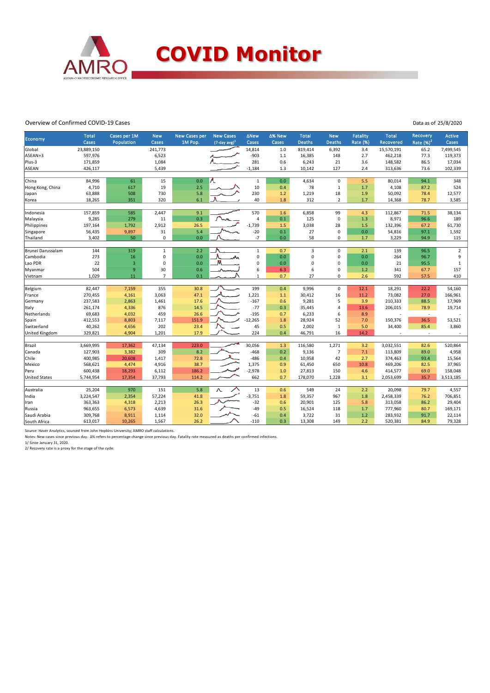

#### Overview of Confirmed COVID-19 Cases

Data as of 25/8/2020

|                                                                                                                              | <b>Total</b> | Cases per 1M   | <b>New</b>     | <b>New Cases per</b> | <b>New Cases</b>            | <b>ANew</b>    | ∆% New | <b>Total</b>   | <b>New</b>     | <b>Fatality</b> | <b>Total</b> | Recovery    | <b>Active</b>  |
|------------------------------------------------------------------------------------------------------------------------------|--------------|----------------|----------------|----------------------|-----------------------------|----------------|--------|----------------|----------------|-----------------|--------------|-------------|----------------|
| Economy                                                                                                                      | <b>Cases</b> | Population     | Cases          | 1M Pop.              | $(7$ -day avg) <sup>1</sup> | Cases          | Cases  | <b>Deaths</b>  | <b>Deaths</b>  | Rate (%)        | Recovered    | Rate $(%)2$ | Cases          |
| Global                                                                                                                       | 23,889,150   |                | 241,773        |                      |                             | 14,814         | 1.0    | 819,414        | 6,392          | 3.4             | 15,570,191   | 65.2        | 7,499,545      |
| ASEAN+3                                                                                                                      | 597,976      |                | 6,523          |                      |                             | $-903$         | 1.1    | 16,385         | 148            | 2.7             | 462,218      | 77.3        | 119,373        |
| Plus-3                                                                                                                       | 171,859      |                | 1,084          |                      |                             | 281            | 0.6    | 6,243          | 21             | 3.6             | 148,582      | 86.5        | 17,034         |
| <b>ASEAN</b>                                                                                                                 | 426,117      |                | 5,439          |                      |                             | $-1,184$       | 1.3    | 10,142         | 127            | 2.4             | 313,636      | 73.6        | 102,339        |
|                                                                                                                              |              |                |                |                      |                             |                |        |                |                |                 |              |             |                |
| China                                                                                                                        | 84,996       | 61             | 15             | 0.0                  |                             | $\mathbf 1$    | 0.0    | 4,634          | $\mathbf 0$    | 5.5             | 80,014       | 94.1        | 348            |
| Hong Kong, China                                                                                                             | 4,710        | 617            | 19             | 2.5                  |                             | 10             | 0.4    | 78             | $\mathbf{1}$   | 1.7             | 4,108        | 87.2        | 524            |
| Japan                                                                                                                        | 63,888       | 508            | 730            | 5.8                  |                             | 230            | 1.2    | 1,219          | 18             | 1.9             | 50,092       | 78.4        | 12,577         |
| Korea                                                                                                                        | 18,265       | 351            | 320            | 6.1                  |                             | 40             | 1.8    | 312            | $\overline{2}$ | 1.7             | 14,368       | 78.7        | 3,585          |
| Indonesia                                                                                                                    | 157,859      | 585            | 2,447          | 9.1                  |                             | 570            | 1.6    | 6,858          | 99             | 4.3             | 112,867      | 71.5        | 38,134         |
| Malaysia                                                                                                                     | 9,285        | 279            | 11             | 0.3                  |                             | $\overline{a}$ | 0.1    | 125            | 0              | 1.3             | 8,971        | 96.6        | 189            |
| Philippines                                                                                                                  | 197,164      | 1,792          | 2,912          | 26.5                 |                             | $-1,739$       | 1.5    | 3,038          | 28             | 1.5             | 132,396      | 67.2        | 61,730         |
| Singapore                                                                                                                    | 56,435       | 9,897          | 31             | 5.4                  |                             | $-20$          | 0.1    | 27             | 0              | 0.0             | 54,816       | 97.1        | 1,592          |
| Thailand                                                                                                                     | 3,402        | 50             | $\mathbf 0$    | 0.0                  |                             | $-7$           | 0.0    | 58             | 0              | 1.7             | 3,229        | 94.9        | 115            |
|                                                                                                                              |              |                |                |                      |                             |                |        |                |                |                 |              |             |                |
| Brunei Darussalam                                                                                                            | 144          | 319            | $\mathbf{1}$   | 2.2                  |                             | $\mathbf 1$    | 0.7    | $\overline{3}$ | $\Omega$       | 2.1             | 139          | 96.5        | $\overline{2}$ |
| Cambodia                                                                                                                     | 273          | 16             | $\mathbf 0$    | 0.0                  | ៳                           | $\mathbf 0$    | 0.0    | $\mathbf 0$    | 0              | 0.0             | 264          | 96.7        | 9              |
| Lao PDR                                                                                                                      | 22           | $\overline{3}$ | $\mathbf 0$    | 0.0                  |                             | $\mathbf 0$    | 0.0    | $\mathbf 0$    | $\Omega$       | 0.0             | 21           | 95.5        | $\mathbf{1}$   |
| Myanmar                                                                                                                      | 504          | $\overline{9}$ | 30             | 0.6                  |                             | 6              | 6.3    | 6              | 0              | 1.2             | 341          | 67.7        | 157            |
| Vietnam                                                                                                                      | 1,029        | 11             | $\overline{7}$ | 0.1                  |                             | $\mathbf{1}$   | 0.7    | 27             | 0              | 2.6             | 592          | 57.5        | 410            |
|                                                                                                                              |              |                |                |                      |                             |                |        |                |                |                 |              |             |                |
| Belgium                                                                                                                      | 82,447       | 7,159          | 355            | 30.8                 |                             | 199            | 0.4    | 9,996          | $\mathbf 0$    | 12.1            | 18,291       | 22.2        | 54,160         |
| France                                                                                                                       | 270,455      | 4,161          | 3,063          | 47.1                 |                             | 1,221          | 1.1    | 30,412         | 16             | 11.2            | 73,082       | 27.0        | 166,961        |
| Germany                                                                                                                      | 237,583      | 2,863          | 1,461          | 17.6                 |                             | $-167$         | 0.6    | 9,281          | 5              | 3.9             | 210,333      | 88.5        | 17,969         |
| Italy                                                                                                                        | 261,174      | 4,336          | 876            | 14.5                 |                             | $-77$          | 0.3    | 35,445         | 4              | 13.6            | 206,015      | 78.9        | 19,714         |
| Netherlands                                                                                                                  | 69,683       | 4,032          | 459            | 26.6                 |                             | $-195$         | 0.7    | 6,233          | 6              | 8.9             |              | $\sim$      |                |
| Spain                                                                                                                        | 412,553      | 8,803          | 7,117          | 151.9                |                             | $-12.265$      | 1.8    | 28,924         | 52             | 7.0             | 150,376      | 36.5        | 53,521         |
| Switzerland                                                                                                                  | 40,262       | 4,656          | 202            | 23.4                 |                             | 45             | 0.5    | 2,002          | $\mathbf{1}$   | 5.0             | 34,400       | 85.4        | 3,860          |
| <b>United Kingdom</b>                                                                                                        | 329,821      | 4,904          | 1,201          | 17.9                 |                             | 224            | 0.4    | 46,791         | 16             | 14.2            |              | ×,          |                |
| Brazil<br>3,669,995<br>17,362<br>47,134<br>223.0<br>30,056<br>116,580<br>1,271<br>3.2<br>3,032,551<br>520,864<br>1.3<br>82.6 |              |                |                |                      |                             |                |        |                |                |                 |              |             |                |
| Canada                                                                                                                       | 127,903      | 3,382          | 309            | 8.2                  |                             | $-468$         | 0.2    | 9,136          | $\overline{7}$ | 7.1             | 113,809      | 89.0        | 4,958          |
| Chile                                                                                                                        | 400,985      | 20,608         | 1,417          | 72.8                 |                             | $-486$         | 0.4    | 10,958         | 42             | 2.7             | 374,463      | 93.4        | 15,564         |
| Mexico                                                                                                                       | 568,621      | 4,474          | 4,916          | 38.7                 |                             | 1,375          | 0.9    | 61,450         | 650            | 10.8            | 469,206      | 82.5        | 37,965         |
| Peru                                                                                                                         | 600,438      | 18,293         | 6,112          | 186.2                |                             | $-2,978$       | 1.0    | 27,813         | 150            | 4.6             | 414,577      | 69.0        | 158,048        |
| <b>United States</b>                                                                                                         | 5,744,954    | 17,354         | 37,793         | 114.2                |                             | 662            | 0.7    | 178,070        | 1,228          | 3.1             | 2,053,699    | 35.7        | 3,513,185      |
|                                                                                                                              |              |                |                |                      |                             |                |        |                |                |                 |              |             |                |
| Australia                                                                                                                    | 25,204       | 970            | 151            | 5.8                  |                             | 13             | 0.6    | 549            | 24             | 2.2             | 20,098       | 79.7        | 4,557          |
| India                                                                                                                        | 3,224,547    | 2,354          | 57,224         | 41.8                 |                             | $-3,751$       | 1.8    | 59,357         | 967            | 1.8             | 2,458,339    | 76.2        | 706,851        |
| Iran                                                                                                                         | 363,363      | 4,318          | 2,213          | 26.3                 |                             | $-32$          | 0.6    | 20,901         | 125            | 5.8             | 313,058      | 86.2        | 29,404         |
| Russia                                                                                                                       | 963,655      | 6,573          | 4,639          | 31.6                 |                             | $-49$          | 0.5    | 16,524         | 118            | 1.7             | 777,960      | 80.7        | 169,171        |
| Saudi Arabia                                                                                                                 | 309,768      | 8,911          | 1,114          | 32.0                 |                             | $-61$          | 0.4    | 3,722          | 31             | 1.2             | 283,932      | 91.7        | 22,114         |
| South Africa                                                                                                                 | 613,017      | 10,265         | 1,567          | 26.2                 |                             | $-110$         | 0.3    | 13,308         | 149            | 2.2             | 520,381      | 84.9        | 79,328         |

Source: Haver Analytics, sourced from John Hopkins University; AMRO staff calculations.

Notes: New cases since previous day. Δ% refers to percentage change since previous day. Fatality rate measured as deaths per confirmed infections.

1/ Since January 31, 2020. 2/ Recovery rate is a proxy for the stage of the cycle.